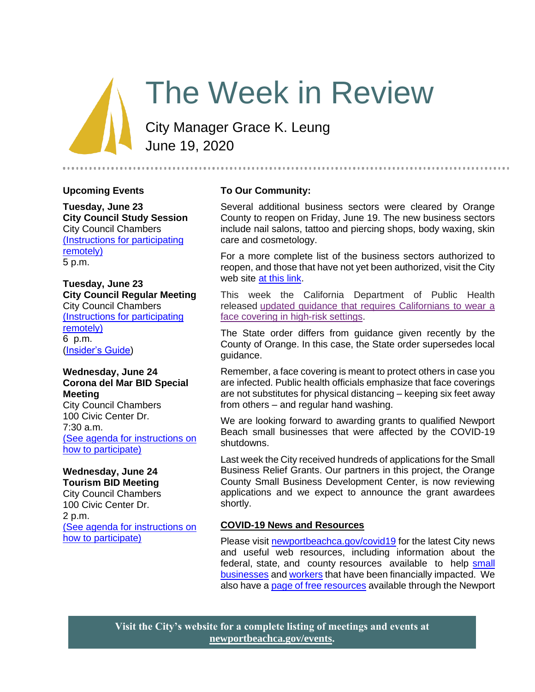# The Week in Review

City Manager Grace K. Leung June 19, 2020

#### **Upcoming Events**

**Tuesday, June 23 City Council Study Session**  City Council Chambers [\(Instructions for participating](https://newportbeachca.gov/Home/Components/Calendar/Event/54197/72)  [remotely\)](https://newportbeachca.gov/Home/Components/Calendar/Event/54197/72) 5 p.m.

# **Tuesday, June 23 City Council Regular Meeting** City Council Chambers [\(Instructions for participating](https://newportbeachca.gov/Home/Components/Calendar/Event/54220/72)  [remotely\)](https://newportbeachca.gov/Home/Components/Calendar/Event/54220/72) 6 p.m.

[\(Insider's Guide\)](https://newportbeachca.gov/government/departments/city-manager-s-office/insider-s-guide)

#### **Wednesday, June 24 Corona del Mar BID Special Meeting**

City Council Chambers 100 Civic Center Dr. 7:30 a.m. [\(See agenda for instructions on](https://newportbeachca.gov/Home/Components/Calendar/Event/63862/72)  [how to participate\)](https://newportbeachca.gov/Home/Components/Calendar/Event/63862/72)

# **Wednesday, June 24**

**Tourism BID Meeting** City Council Chambers 100 Civic Center Dr. 2 p.m. [\(See agenda for instructions on](https://newportbeachca.gov/Home/Components/Calendar/Event/63866/72)  [how to participate\)](https://newportbeachca.gov/Home/Components/Calendar/Event/63866/72)

#### **To Our Community:**

Several additional business sectors were cleared by Orange County to reopen on Friday, June 19. The new business sectors include nail salons, tattoo and piercing shops, body waxing, skin care and cosmetology.

For a more complete list of the business sectors authorized to reopen, and those that have not yet been authorized, visit the City web site [at this link.](https://www.newportbeachca.gov/Home/Components/News/News/38357/2720)

This week the California Department of Public Health released [updated guidance that requires Californians to wear a](https://www.cdph.ca.gov/Programs/CID/DCDC/CDPH%20Document%20Library/COVID-19/Guidance-for-Face-Coverings_06-18-2020.pdf)  [face covering in high-risk settings.](https://www.cdph.ca.gov/Programs/CID/DCDC/CDPH%20Document%20Library/COVID-19/Guidance-for-Face-Coverings_06-18-2020.pdf)

The State order differs from guidance given recently by the County of Orange. In this case, the State order supersedes local guidance.

Remember, a face covering is meant to protect others in case you are infected. Public health officials emphasize that face coverings are not substitutes for physical distancing – keeping six feet away from others – and regular hand washing.

We are looking forward to awarding grants to qualified Newport Beach small businesses that were affected by the COVID-19 shutdowns.

Last week the City received hundreds of applications for the Small Business Relief Grants. Our partners in this project, the Orange County Small Business Development Center, is now reviewing applications and we expect to announce the grant awardees shortly.

## **COVID-19 News and Resources**

Please visit [newportbeachca.gov/covid19](https://www.newportbeachca.gov/how-do-i/find/disaster-preparedness-information/disease-outbreak/-fsiteid-1) for the latest City news and useful web resources, including information about the federal, state, and county resources available to help small [businesses](https://www.newportbeachca.gov/government/departments/city-manager/economic-development/small-business-support) and [workers](https://www.newportbeachca.gov/government/departments/city-manager/economic-development/support-for-employees) that have been financially impacted. We also have a [page of free resources](https://www.newportbeachca.gov/government/departments/city-manager/economic-development/small-business-support/business-employee-resources) available through the Newport

**Visit the City's website for a complete listing of meetings and events at [newportbeachca.gov/events.](https://www.newportbeachca.gov/government/open-government/city-calendar)**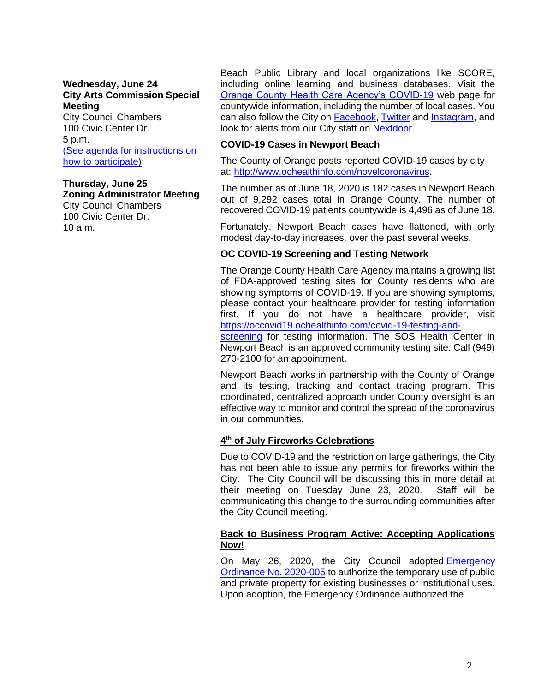#### **Wednesday, June 24 City Arts Commission Special Meeting**

City Council Chambers 100 Civic Center Dr. 5 p.m. [\(See agenda for instructions on](https://newportbeachca.gov/Home/Components/Calendar/Event/63639/72)  [how to participate\)](https://newportbeachca.gov/Home/Components/Calendar/Event/63639/72)

**Thursday, June 25 Zoning Administrator Meeting** City Council Chambers 100 Civic Center Dr. 10 a.m.

Beach Public Library and local organizations like SCORE, including online learning and business databases. Visit the [Orange County Health Care Agency's COVID-19](https://www.ochealthinfo.com/phs/about/epidasmt/epi/dip/prevention/novel_coronavirus) web page for countywide information, including the number of local cases. You can also follow the City on [Facebook,](https://www.facebook.com/pg/CityofNewportBeach) [Twitter](https://twitter.com/newportbeachgov) and [Instagram,](https://www.instagram.com/cityofnewportbeach/) and look for alerts from our City staff on [Nextdoor.](https://nextdoor.com/agency/city-of-newport-beach/?i=ltdytbjdbdkntfqttgcm)

#### **COVID-19 Cases in Newport Beach**

The County of Orange posts reported COVID-19 cases by city at: [http://www.ochealthinfo.com/novelcoronavirus.](http://www.ochealthinfo.com/novelcoronavirus)

The number as of June 18, 2020 is 182 cases in Newport Beach out of 9,292 cases total in Orange County. The number of recovered COVID-19 patients countywide is 4,496 as of June 18.

Fortunately, Newport Beach cases have flattened, with only modest day-to-day increases, over the past several weeks.

#### **OC COVID-19 Screening and Testing Network**

The Orange County Health Care Agency maintains a growing list of FDA-approved testing sites for County residents who are showing symptoms of COVID-19. If you are showing symptoms, please contact your healthcare provider for testing information first. If you do not have a healthcare provider, visit [https://occovid19.ochealthinfo.com/covid-19-testing-and-](https://occovid19.ochealthinfo.com/covid-19-testing-and-screening)

[screening](https://occovid19.ochealthinfo.com/covid-19-testing-and-screening) for testing information. The SOS Health Center in Newport Beach is an approved community testing site. Call (949) 270-2100 for an appointment.

Newport Beach works in partnership with the County of Orange and its testing, tracking and contact tracing program. This coordinated, centralized approach under County oversight is an effective way to monitor and control the spread of the coronavirus in our communities.

#### **4 th of July Fireworks Celebrations**

Due to COVID-19 and the restriction on large gatherings, the City has not been able to issue any permits for fireworks within the City. The City Council will be discussing this in more detail at their meeting on Tuesday June 23, 2020. Staff will be communicating this change to the surrounding communities after the City Council meeting.

#### **Back to Business Program Active: Accepting Applications Now!**

On May 26, 2020, the City Council adopted Emergency [Ordinance No. 2020-005](http://ecms.newportbeachca.gov/Web/0/doc/2509557/Page1.aspx) to authorize the temporary use of public and private property for existing businesses or institutional uses. Upon adoption, the Emergency Ordinance authorized the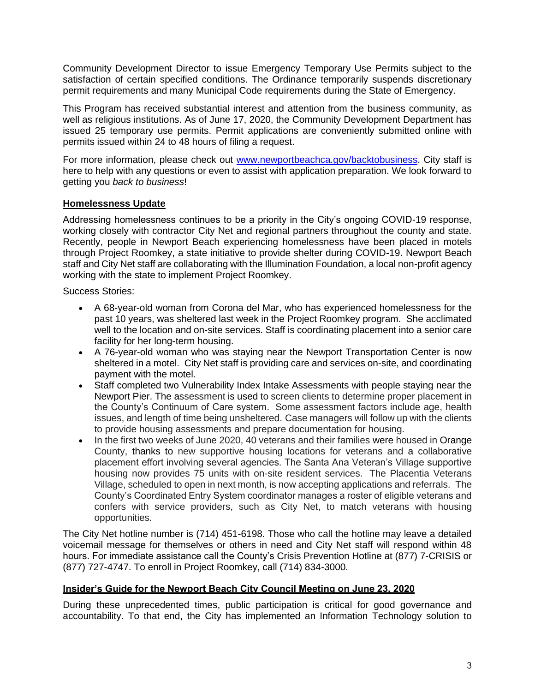Community Development Director to issue Emergency Temporary Use Permits subject to the satisfaction of certain specified conditions. The Ordinance temporarily suspends discretionary permit requirements and many Municipal Code requirements during the State of Emergency.

This Program has received substantial interest and attention from the business community, as well as religious institutions. As of June 17, 2020, the Community Development Department has issued 25 temporary use permits. Permit applications are conveniently submitted online with permits issued within 24 to 48 hours of filing a request.

For more information, please check out [www.newportbeachca.gov/backtobusiness.](http://www.newportbeachca.gov/backtobusiness) City staff is here to help with any questions or even to assist with application preparation. We look forward to getting you *back to business*!

# **Homelessness Update**

Addressing homelessness continues to be a priority in the City's ongoing COVID-19 response, working closely with contractor City Net and regional partners throughout the county and state. Recently, people in Newport Beach experiencing homelessness have been placed in motels through Project Roomkey, a state initiative to provide shelter during COVID-19. Newport Beach staff and City Net staff are collaborating with the Illumination Foundation, a local non-profit agency working with the state to implement Project Roomkey.

Success Stories:

- A 68-year-old woman from Corona del Mar, who has experienced homelessness for the past 10 years, was sheltered last week in the Project Roomkey program. She acclimated well to the location and on-site services. Staff is coordinating placement into a senior care facility for her long-term housing.
- A 76-year-old woman who was staying near the Newport Transportation Center is now sheltered in a motel. City Net staff is providing care and services on-site, and coordinating payment with the motel.
- Staff completed two Vulnerability Index Intake Assessments with people staying near the Newport Pier. The assessment is used to screen clients to determine proper placement in the County's Continuum of Care system. Some assessment factors include age, health issues, and length of time being unsheltered. Case managers will follow up with the clients to provide housing assessments and prepare documentation for housing.
- In the first two weeks of June 2020, 40 veterans and their families were housed in Orange County, thanks to new supportive housing locations for veterans and a collaborative placement effort involving several agencies. The Santa Ana Veteran's Village supportive housing now provides 75 units with on-site resident services. The Placentia Veterans Village, scheduled to open in next month, is now accepting applications and referrals. The County's Coordinated Entry System coordinator manages a roster of eligible veterans and confers with service providers, such as City Net, to match veterans with housing opportunities.

The City Net hotline number is (714) 451-6198. Those who call the hotline may leave a detailed voicemail message for themselves or others in need and City Net staff will respond within 48 hours. For immediate assistance call the County's Crisis Prevention Hotline at (877) 7-CRISIS or (877) 727-4747. To enroll in Project Roomkey, call (714) 834-3000.

## **Insider's Guide for the Newport Beach City Council Meeting on June 23, 2020**

During these unprecedented times, public participation is critical for good governance and accountability. To that end, the City has implemented an Information Technology solution to